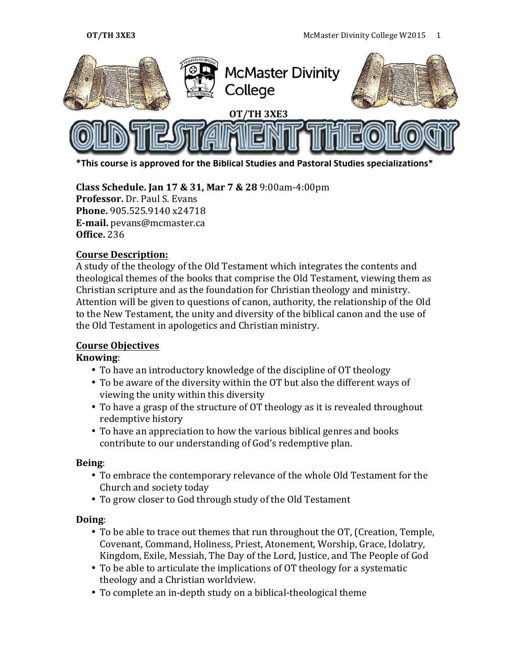

\*This course is approved for the Biblical Studies and Pastoral Studies specializations\*

**Class Schedule. Jan 17 & 31, Mar 7 & 28** 9:00am-4:00pm **Professor.** Dr. Paul S. Evans **Phone.** 905.525.9140 x24718 **E-mail.** pevans@mcmaster.ca **Office.** 236

### **Course Description:**

A study of the theology of the Old Testament which integrates the contents and theological themes of the books that comprise the Old Testament, viewing them as Christian scripture and as the foundation for Christian theology and ministry. Attention will be given to questions of canon, authority, the relationship of the Old to the New Testament, the unity and diversity of the biblical canon and the use of the Old Testament in apologetics and Christian ministry.

### **Course Objectives**

### **Knowing**:

- To have an introductory knowledge of the discipline of OT theology
- To be aware of the diversity within the OT but also the different ways of viewing the unity within this diversity
- To have a grasp of the structure of OT theology as it is revealed throughout redemptive history
- To have an appreciation to how the various biblical genres and books contribute to our understanding of God's redemptive plan.

### **Being**:

- To embrace the contemporary relevance of the whole Old Testament for the Church and society today
- To grow closer to God through study of the Old Testament

### **Doing**:

- To be able to trace out themes that run throughout the OT, (Creation, Temple, Covenant, Command, Holiness, Priest, Atonement, Worship, Grace, Idolatry, Kingdom, Exile, Messiah, The Day of the Lord, Justice, and The People of God
- To be able to articulate the implications of OT theology for a systematic theology and a Christian worldview.
- To complete an in-depth study on a biblical-theological theme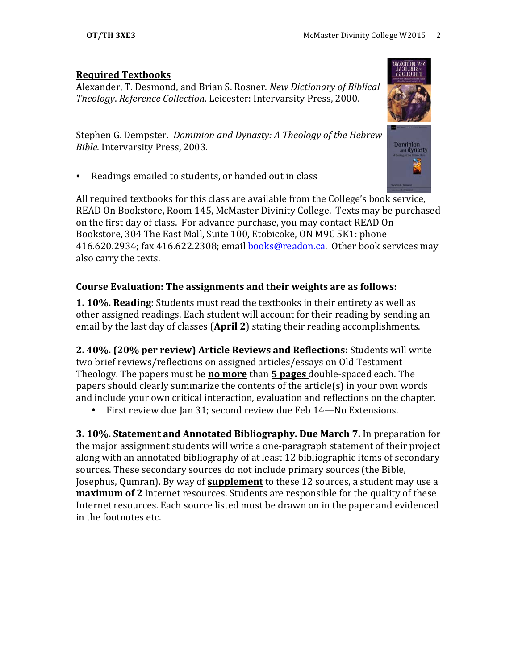### **Required Textbooks**

Alexander, T. Desmond, and Brian S. Rosner. *New Dictionary of Biblical Theology. Reference Collection. Leicester: Intervarsity Press, 2000.* 

Stephen G. Dempster. *Dominion and Dynasty: A Theology of the Hebrew Bible.* Intervarsity Press, 2003.

Readings emailed to students, or handed out in class

All required textbooks for this class are available from the College's book service, READ On Bookstore, Room 145, McMaster Divinity College. Texts may be purchased on the first day of class. For advance purchase, you may contact READ On Bookstore, 304 The East Mall, Suite 100, Etobicoke, ON M9C 5K1: phone 416.620.2934; fax 416.622.2308; email **books@readon.ca.** Other book services may also carry the texts.

# **Course Evaluation: The assignments and their weights are as follows:**

**1. 10%. Reading:** Students must read the textbooks in their entirety as well as other assigned readings. Each student will account for their reading by sending an email by the last day of classes (April 2) stating their reading accomplishments.

**2. 40%. (20% per review) Article Reviews and Reflections:** Students will write two brief reviews/reflections on assigned articles/essays on Old Testament Theology. The papers must be **no more** than **5 pages** double-spaced each. The papers should clearly summarize the contents of the article(s) in your own words and include your own critical interaction, evaluation and reflections on the chapter.

• First review due Ian  $31$ ; second review due Feb  $14$ —No Extensions.

**3. 10%. Statement and Annotated Bibliography. Due March 7.** In preparation for the major assignment students will write a one-paragraph statement of their project along with an annotated bibliography of at least 12 bibliographic items of secondary sources. These secondary sources do not include primary sources (the Bible, Josephus, Qumran). By way of **supplement** to these 12 sources, a student may use a **maximum of 2** Internet resources. Students are responsible for the quality of these Internet resources. Each source listed must be drawn on in the paper and evidenced in the footnotes etc.

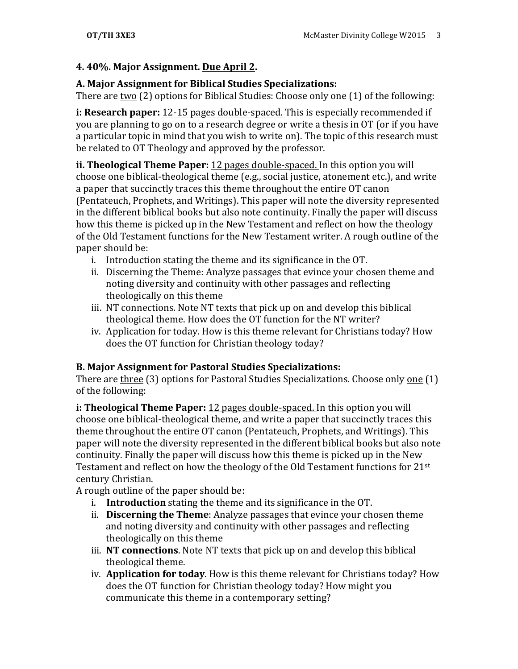# **4. 40%. Major Assignment. Due April 2.**

### **A. Major Assignment for Biblical Studies Specializations:**

There are two  $(2)$  options for Biblical Studies: Choose only one  $(1)$  of the following:

**i: Research paper:** 12-15 pages double-spaced. This is especially recommended if you are planning to go on to a research degree or write a thesis in OT (or if you have a particular topic in mind that you wish to write on). The topic of this research must be related to OT Theology and approved by the professor.

**ii. Theological Theme Paper:** 12 pages double-spaced. In this option you will choose one biblical-theological theme (e.g., social justice, atonement etc.), and write a paper that succinctly traces this theme throughout the entire OT canon (Pentateuch, Prophets, and Writings). This paper will note the diversity represented in the different biblical books but also note continuity. Finally the paper will discuss how this theme is picked up in the New Testament and reflect on how the theology of the Old Testament functions for the New Testament writer. A rough outline of the paper should be:

- i. Introduction stating the theme and its significance in the OT.
- ii. Discerning the Theme: Analyze passages that evince your chosen theme and noting diversity and continuity with other passages and reflecting theologically on this theme
- iii. NT connections. Note NT texts that pick up on and develop this biblical theological theme. How does the OT function for the NT writer?
- iv. Application for today. How is this theme relevant for Christians today? How does the OT function for Christian theology today?

# **B. Major Assignment for Pastoral Studies Specializations:**

There are three (3) options for Pastoral Studies Specializations. Choose only one (1) of the following:

**i: Theological Theme Paper:** 12 pages double-spaced. In this option you will choose one biblical-theological theme, and write a paper that succinctly traces this theme throughout the entire OT canon (Pentateuch, Prophets, and Writings). This paper will note the diversity represented in the different biblical books but also note continuity. Finally the paper will discuss how this theme is picked up in the New Testament and reflect on how the theology of the Old Testament functions for  $21^{st}$ century Christian.

A rough outline of the paper should be:

- i. **Introduction** stating the theme and its significance in the OT.
- ii. **Discerning the Theme**: Analyze passages that evince your chosen theme and noting diversity and continuity with other passages and reflecting theologically on this theme
- iii. **NT connections**. Note NT texts that pick up on and develop this biblical theological theme.
- iv. **Application for today**. How is this theme relevant for Christians today? How does the OT function for Christian theology today? How might you communicate this theme in a contemporary setting?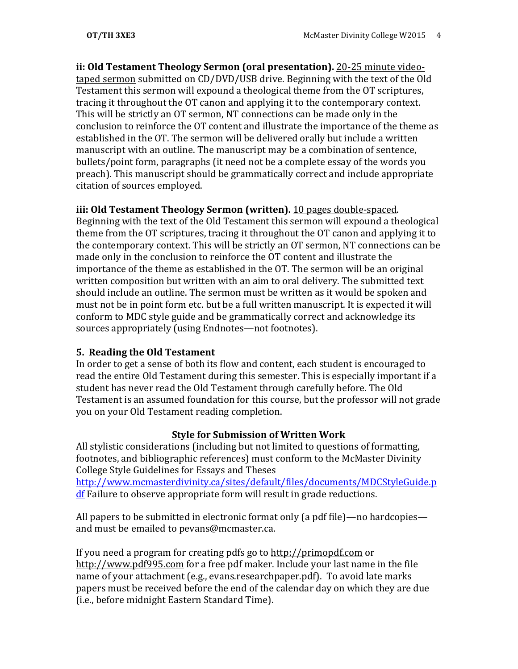**ii: Old Testament Theology Sermon (oral presentation).** 20-25 minute videotaped sermon submitted on CD/DVD/USB drive. Beginning with the text of the Old Testament this sermon will expound a theological theme from the OT scriptures, tracing it throughout the OT canon and applying it to the contemporary context. This will be strictly an OT sermon, NT connections can be made only in the conclusion to reinforce the OT content and illustrate the importance of the theme as established in the OT. The sermon will be delivered orally but include a written manuscript with an outline. The manuscript may be a combination of sentence, bullets/point form, paragraphs (it need not be a complete essay of the words you preach). This manuscript should be grammatically correct and include appropriate citation of sources employed.

### **iii: Old Testament Theology Sermon (written).** 10 pages double-spaced.

Beginning with the text of the Old Testament this sermon will expound a theological theme from the OT scriptures, tracing it throughout the OT canon and applying it to the contemporary context. This will be strictly an OT sermon, NT connections can be made only in the conclusion to reinforce the OT content and illustrate the importance of the theme as established in the OT. The sermon will be an original written composition but written with an aim to oral delivery. The submitted text should include an outline. The sermon must be written as it would be spoken and must not be in point form etc. but be a full written manuscript. It is expected it will conform to MDC style guide and be grammatically correct and acknowledge its sources appropriately (using Endnotes—not footnotes).

# **5. Reading the Old Testament**

In order to get a sense of both its flow and content, each student is encouraged to read the entire Old Testament during this semester. This is especially important if a student has never read the Old Testament through carefully before. The Old Testament is an assumed foundation for this course, but the professor will not grade you on your Old Testament reading completion.

# **Style for Submission of Written Work**

All stylistic considerations (including but not limited to questions of formatting, footnotes, and bibliographic references) must conform to the McMaster Divinity College Style Guidelines for Essays and Theses http://www.mcmasterdivinity.ca/sites/default/files/documents/MDCStyleGuide.p  $df$  Failure to observe appropriate form will result in grade reductions.

All papers to be submitted in electronic format only (a pdf file)—no hardcopies and must be emailed to pevans@mcmaster.ca.

If you need a program for creating pdfs go to http://primopdf.com or http://www.pdf995.com for a free pdf maker. Include your last name in the file name of your attachment (e.g., evans.researchpaper.pdf). To avoid late marks papers must be received before the end of the calendar day on which they are due (i.e., before midnight Eastern Standard Time).